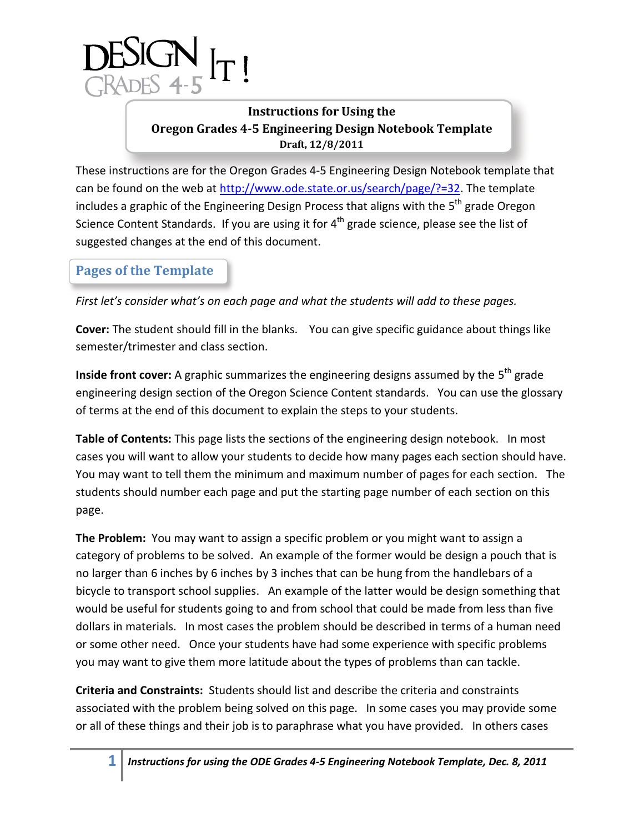

## **Instructions for Using the Oregon Grades 4-5 Engineering Design Notebook Template Draft, 12/8/2011**

These instructions are for the Oregon Grades 4-5 Engineering Design Notebook template that can be found on the web at [http://www.ode.state.or.us/search/page/?=32.](http://www.ode.state.or.us/search/page/?=32) The template includes a graphic of the Engineering Design Process that aligns with the 5<sup>th</sup> grade Oregon Science Content Standards. If you are using it for 4<sup>th</sup> grade science, please see the list of suggested changes at the end of this document.

# **Pages of the Template**

*First let's consider what's on each page and what the students will add to these pages.*

**Cover:** The student should fill in the blanks. You can give specific guidance about things like semester/trimester and class section.

**Inside front cover:** A graphic summarizes the engineering designs assumed by the 5<sup>th</sup> grade engineering design section of the Oregon Science Content standards. You can use the glossary of terms at the end of this document to explain the steps to your students.

**Table of Contents:** This page lists the sections of the engineering design notebook. In most cases you will want to allow your students to decide how many pages each section should have. You may want to tell them the minimum and maximum number of pages for each section. The students should number each page and put the starting page number of each section on this page.

**The Problem:** You may want to assign a specific problem or you might want to assign a category of problems to be solved. An example of the former would be design a pouch that is no larger than 6 inches by 6 inches by 3 inches that can be hung from the handlebars of a bicycle to transport school supplies. An example of the latter would be design something that would be useful for students going to and from school that could be made from less than five dollars in materials. In most cases the problem should be described in terms of a human need or some other need. Once your students have had some experience with specific problems you may want to give them more latitude about the types of problems than can tackle.

**Criteria and Constraints:** Students should list and describe the criteria and constraints associated with the problem being solved on this page. In some cases you may provide some or all of these things and their job is to paraphrase what you have provided. In others cases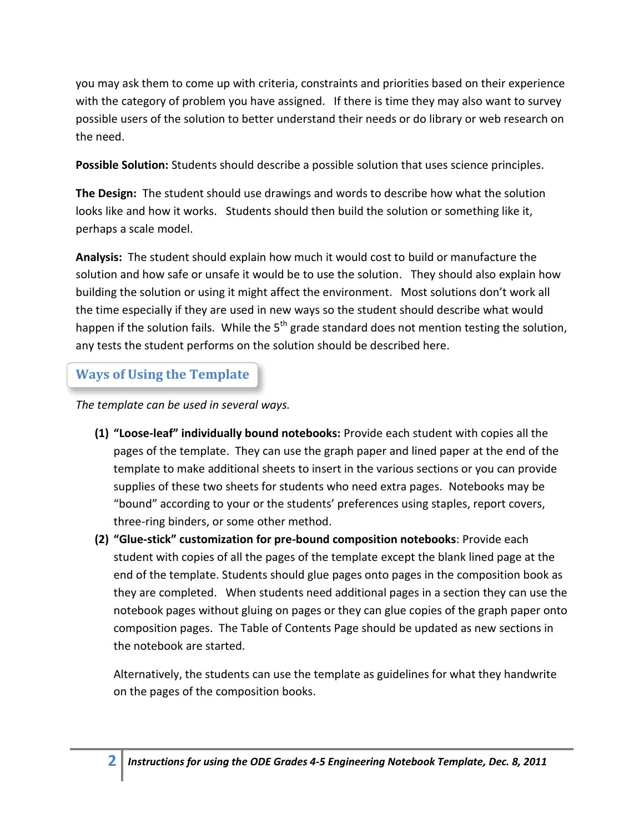you may ask them to come up with criteria, constraints and priorities based on their experience with the category of problem you have assigned. If there is time they may also want to survey possible users of the solution to better understand their needs or do library or web research on the need.

**Possible Solution:** Students should describe a possible solution that uses science principles.

**The Design:** The student should use drawings and words to describe how what the solution looks like and how it works. Students should then build the solution or something like it, perhaps a scale model.

**Analysis:** The student should explain how much it would cost to build or manufacture the solution and how safe or unsafe it would be to use the solution. They should also explain how building the solution or using it might affect the environment. Most solutions don't work all the time especially if they are used in new ways so the student should describe what would happen if the solution fails. While the  $5<sup>th</sup>$  grade standard does not mention testing the solution, any tests the student performs on the solution should be described here.

# **Ways of Using the Template**

*The template can be used in several ways.* 

- **(1) "Loose-leaf" individually bound notebooks:** Provide each student with copies all the pages of the template. They can use the graph paper and lined paper at the end of the template to make additional sheets to insert in the various sections or you can provide supplies of these two sheets for students who need extra pages. Notebooks may be "bound" according to your or the students' preferences using staples, report covers, three-ring binders, or some other method.
- **(2) "Glue-stick" customization for pre-bound composition notebooks**: Provide each student with copies of all the pages of the template except the blank lined page at the end of the template. Students should glue pages onto pages in the composition book as they are completed. When students need additional pages in a section they can use the notebook pages without gluing on pages or they can glue copies of the graph paper onto composition pages. The Table of Contents Page should be updated as new sections in the notebook are started.

Alternatively, the students can use the template as guidelines for what they handwrite on the pages of the composition books.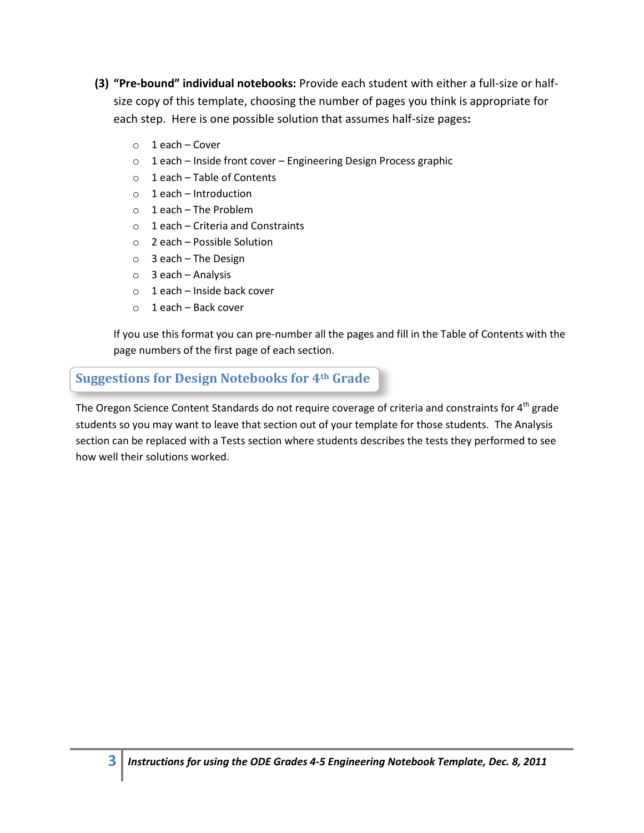- **(3) "Pre-bound" individual notebooks:** Provide each student with either a full-size or halfsize copy of this template, choosing the number of pages you think is appropriate for each step. Here is one possible solution that assumes half-size pages**:**
	- o 1 each Cover
	- o 1 each Inside front cover Engineering Design Process graphic
	- $\circ$  1 each Table of Contents
	- o 1 each Introduction
	- $\circ$  1 each The Problem
	- o 1 each Criteria and Constraints
	- o 2 each Possible Solution
	- o 3 each The Design
	- o 3 each Analysis
	- $\circ$  1 each Inside back cover
	- o 1 each Back cover

If you use this format you can pre-number all the pages and fill in the Table of Contents with the page numbers of the first page of each section.

## **Suggestions for Design Notebooks for 4th Grade**

The Oregon Science Content Standards do not require coverage of criteria and constraints for 4<sup>th</sup> grade students so you may want to leave that section out of your template for those students. The Analysis section can be replaced with a Tests section where students describes the tests they performed to see how well their solutions worked.